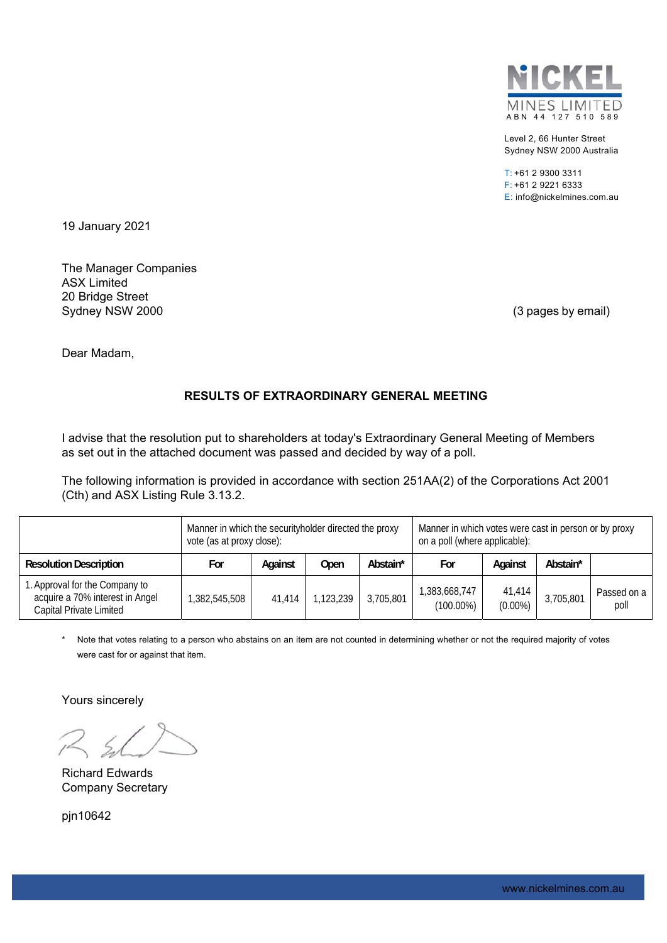

Level 2, 66 Hunter Street Sydney NSW 2000 Australia

T: +61 2 9300 3311 F: +61 2 9221 6333 E: info@nickelmines.com.au

19 January 2021

The Manager Companies ASX Limited 20 Bridge Street Sydney NSW 2000 (3 pages by email)

Dear Madam,

# **RESULTS OF EXTRAORDINARY GENERAL MEETING**

I advise that the resolution put to shareholders at today's Extraordinary General Meeting of Members as set out in the attached document was passed and decided by way of a poll.

The following information is provided in accordance with section 251AA(2) of the Corporations Act 2001 (Cth) and ASX Listing Rule 3.13.2.

|                                                                                              | Manner in which the securityholder directed the proxy<br>vote (as at proxy close): |         |           |           | Manner in which votes were cast in person or by proxy<br>on a poll (where applicable): |                      |           |                     |
|----------------------------------------------------------------------------------------------|------------------------------------------------------------------------------------|---------|-----------|-----------|----------------------------------------------------------------------------------------|----------------------|-----------|---------------------|
| <b>Resolution Description</b>                                                                | For                                                                                | Against | Open      | Abstain*  | For                                                                                    | Against              | Abstain*  |                     |
| 1. Approval for the Company to<br>acquire a 70% interest in Angel<br>Capital Private Limited | ,382,545,508                                                                       | 41.414  | 1,123,239 | 3,705,801 | 1,383,668,747<br>$(100.00\%)$                                                          | 41,414<br>$(0.00\%)$ | 3,705,801 | Passed on a<br>poll |

Note that votes relating to a person who abstains on an item are not counted in determining whether or not the required majority of votes were cast for or against that item.

Yours sincerely

Richard Edwards Company Secretary

pin10642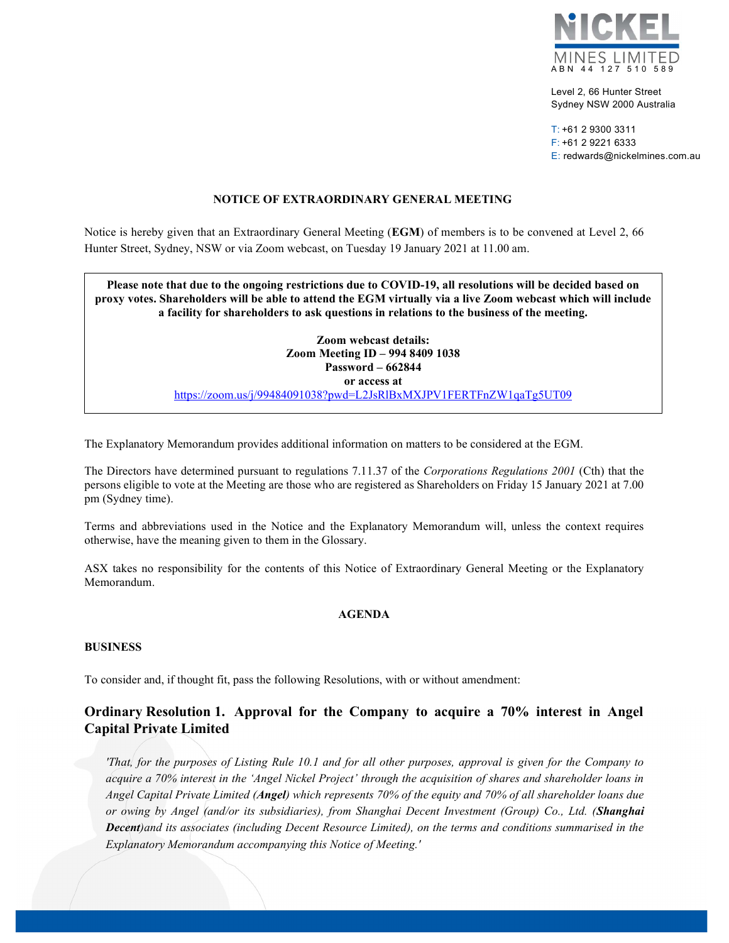

Level 2, 66 Hunter Street Sydney NSW 2000 Australia

T: +61 2 9300 3311 F: +61 2 9221 6333 E: redwards@nickelmines.com.au

### NOTICE OF EXTRAORDINARY GENERAL MEETING

Notice is hereby given that an Extraordinary General Meeting (EGM) of members is to be convened at Level 2, 66 Hunter Street, Sydney, NSW or via Zoom webcast, on Tuesday 19 January 2021 at 11.00 am.

Please note that due to the ongoing restrictions due to COVID-19, all resolutions will be decided based on proxy votes. Shareholders will be able to attend the EGM virtually via a live Zoom webcast which will include a facility for shareholders to ask questions in relations to the business of the meeting.

> Zoom webcast details: Zoom Meeting ID – 994 8409 1038 Password – 662844 or access at https://zoom.us/j/99484091038?pwd=L2JsRlBxMXJPV1FERTFnZW1qaTg5UT09

The Explanatory Memorandum provides additional information on matters to be considered at the EGM.

The Directors have determined pursuant to regulations 7.11.37 of the Corporations Regulations 2001 (Cth) that the persons eligible to vote at the Meeting are those who are registered as Shareholders on Friday 15 January 2021 at 7.00 pm (Sydney time).

Terms and abbreviations used in the Notice and the Explanatory Memorandum will, unless the context requires otherwise, have the meaning given to them in the Glossary.

ASX takes no responsibility for the contents of this Notice of Extraordinary General Meeting or the Explanatory Memorandum.

#### AGENDA

#### BUSINESS

To consider and, if thought fit, pass the following Resolutions, with or without amendment:

# Ordinary Resolution 1. Approval for the Company to acquire a 70% interest in Angel Capital Private Limited

'That, for the purposes of Listing Rule 10.1 and for all other purposes, approval is given for the Company to acquire a 70% interest in the 'Angel Nickel Project' through the acquisition of shares and shareholder loans in Angel Capital Private Limited (Angel) which represents 70% of the equity and 70% of all shareholder loans due or owing by Angel (and/or its subsidiaries), from Shanghai Decent Investment (Group) Co., Ltd. (Shanghai Decent)and its associates (including Decent Resource Limited), on the terms and conditions summarised in the Explanatory Memorandum accompanying this Notice of Meeting.'